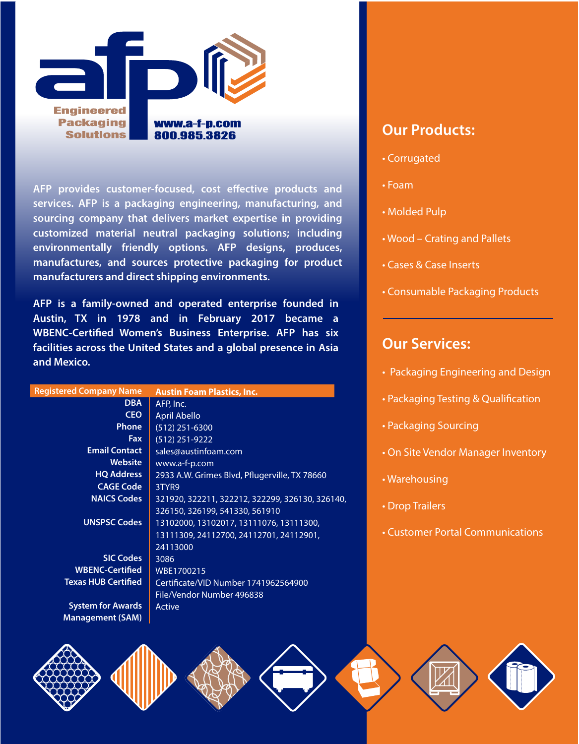

AFP provides customer-focused, cost effective products and **services. AFP is a packaging engineering, manufacturing, and sourcing company that delivers market expertise in providing customized material neutral packaging solutions; including environmentally friendly options. AFP designs, produces, manufactures, and sources protective packaging for product manufacturers and direct shipping environments.**

**AFP is a family-owned and operated enterprise founded in Austin, TX in 1978 and in February 2017 became a WBENC-Certied Women's Business Enterprise. AFP has six facilities across the United States and a global presence in Asia and Mexico.**

| <b>Registered Company Name</b> | <b>Austin Foam Plastics, Inc.</b>               |
|--------------------------------|-------------------------------------------------|
| <b>DBA</b>                     | AFP, Inc.                                       |
| <b>CEO</b>                     | <b>April Abello</b>                             |
| <b>Phone</b>                   | $(512)$ 251-6300                                |
| Fax                            | $(512)$ 251-9222                                |
| <b>Email Contact</b>           | sales@austinfoam.com                            |
| <b>Website</b>                 | www.a-f-p.com                                   |
| <b>HQ Address</b>              | 2933 A.W. Grimes Blvd, Pflugerville, TX 78660   |
| <b>CAGE Code</b>               | 3TYR9                                           |
| <b>NAICS Codes</b>             | 321920, 322211, 322212, 322299, 326130, 326140, |
|                                | 326150, 326199, 541330, 561910                  |
| <b>UNSPSC Codes</b>            | 13102000, 13102017, 13111076, 13111300,         |
|                                | 13111309, 24112700, 24112701, 24112901,         |
|                                | 24113000                                        |
| <b>SIC Codes</b>               | 3086                                            |
| <b>WBENC-Certified</b>         | WBE1700215                                      |
| <b>Texas HUB Certified</b>     | Certificate/VID Number 1741962564900            |
|                                | File/Vendor Number 496838                       |
| <b>System for Awards</b>       | Active                                          |
| <b>Management (SAM)</b>        |                                                 |

## **Our Products:**

- Corrugated
- Foam
- Molded Pulp
- Wood Crating and Pallets
- Cases & Case Inserts
- Consumable Packaging Products

## **Our Services:**

- Packaging Engineering and Design
- Packaging Testing & Qualification
- Packaging Sourcing
- On Site Vendor Manager Inventory
- **Warehousing**
- Drop Trailers
- Customer Portal Communications